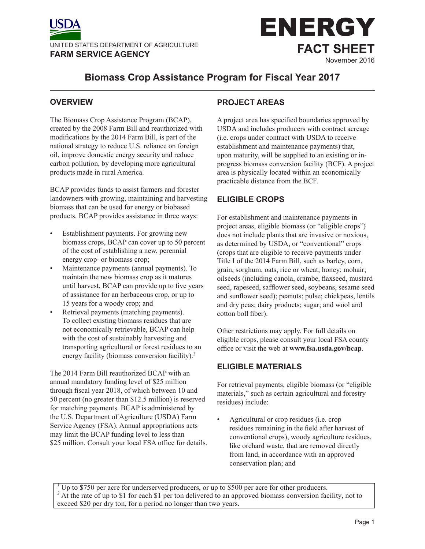



# **Biomass Crop Assistance Program for Fiscal Year 2017**

#### **OVERVIEW**

The Biomass Crop Assistance Program (BCAP), created by the 2008 Farm Bill and reauthorized with modifications by the 2014 Farm Bill, is part of the national strategy to reduce U.S. reliance on foreign oil, improve domestic energy security and reduce carbon pollution, by developing more agricultural products made in rural America.

BCAP provides funds to assist farmers and forester landowners with growing, maintaining and harvesting biomass that can be used for energy or biobased products. BCAP provides assistance in three ways:

- Establishment payments. For growing new biomass crops, BCAP can cover up to 50 percent of the cost of establishing a new, perennial energy  $\text{crop}^1$  or biomass  $\text{crop}$ ;
- Maintenance payments (annual payments). To maintain the new biomass crop as it matures until harvest, BCAP can provide up to five years of assistance for an herbaceous crop, or up to 15 years for a woody crop; and
- Retrieval payments (matching payments). To collect existing biomass residues that are not economically retrievable, BCAP can help with the cost of sustainably harvesting and transporting agricultural or forest residues to an energy facility (biomass conversion facility).<sup>2</sup>

The 2014 Farm Bill reauthorized BCAP with an annual mandatory funding level of \$25 million through fiscal year 2018, of which between 10 and 50 percent (no greater than \$12.5 million) is reserved for matching payments. BCAP is administered by the U.S. Department of Agriculture (USDA) Farm Service Agency (FSA). Annual appropriations acts may limit the BCAP funding level to less than \$25 million. Consult your local FSA office for details.

## **PROJECT AREAS**

A project area has specified boundaries approved by USDA and includes producers with contract acreage (i.e. crops under contract with USDA to receive establishment and maintenance payments) that, upon maturity, will be supplied to an existing or inprogress biomass conversion facility (BCF). A project area is physically located within an economically practicable distance from the BCF.

## **ELIGIBLE CROPS**

For establishment and maintenance payments in project areas, eligible biomass (or "eligible crops") does not include plants that are invasive or noxious, as determined by USDA, or "conventional" crops (crops that are eligible to receive payments under Title I of the 2014 Farm Bill, such as barley, corn, grain, sorghum, oats, rice or wheat; honey; mohair; oilseeds (including canola, crambe, flaxseed, mustard seed, rapeseed, safflower seed, soybeans, sesame seed and sunflower seed); peanuts; pulse; chickpeas, lentils and dry peas; dairy products; sugar; and wool and cotton boll fiber).

Other restrictions may apply. For full details on eligible crops, please consult your local FSA county office or visit the web at **www.fsa.usda.gov/bcap**.

## **ELIGIBLE MATERIALS**

For retrieval payments, eligible biomass (or "eligible materials," such as certain agricultural and forestry residues) include:

• Agricultural or crop residues (i.e. crop residues remaining in the field after harvest of conventional crops), woody agriculture residues, like orchard waste, that are removed directly from land, in accordance with an approved conservation plan; and

<sup>1</sup> Up to \$750 per acre for underserved producers, or up to \$500 per acre for other producers. <sup>2</sup> At the rate of up to \$1 for each \$1 per ton delivered to an approved biomass conversion facility, not to exceed \$20 per dry ton, for a period no longer than two years.